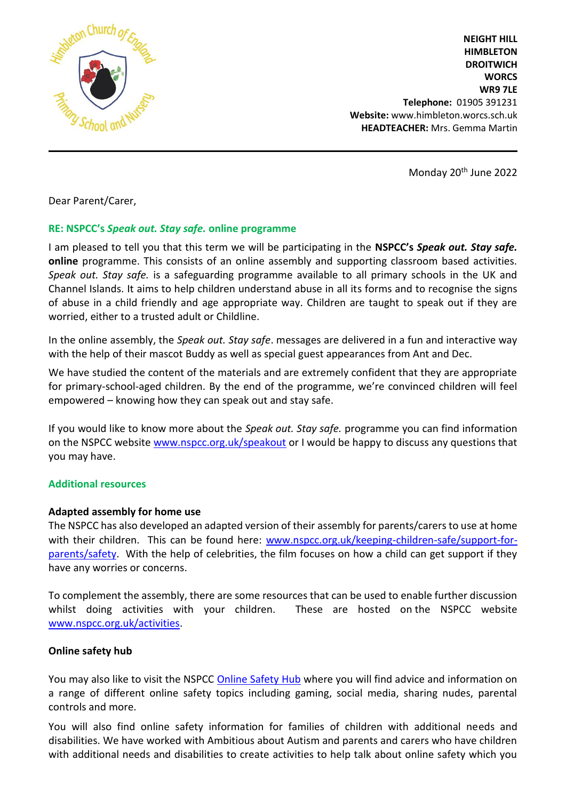

**NEIGHT HILL HIMBLETON DROITWICH WORCS WR9 7LE Telephone:** 01905 391231 **Website:** www.himbleton.worcs.sch.uk  **HEADTEACHER:** Mrs. Gemma Martin

Monday 20th June 2022

Dear Parent/Carer,

# **RE: NSPCC's** *Speak out. Stay safe.* **online programme**

I am pleased to tell you that this term we will be participating in the **NSPCC's** *Speak out. Stay safe.* **online** programme. This consists of an online assembly and supporting classroom based activities. *Speak out. Stay safe.* is a safeguarding programme available to all primary schools in the UK and Channel Islands. It aims to help children understand abuse in all its forms and to recognise the signs of abuse in a child friendly and age appropriate way. Children are taught to speak out if they are worried, either to a trusted adult or Childline.

In the online assembly, the *Speak out. Stay safe*. messages are delivered in a fun and interactive way with the help of their mascot Buddy as well as special guest appearances from Ant and Dec.

We have studied the content of the materials and are extremely confident that they are appropriate for primary-school-aged children. By the end of the programme, we're convinced children will feel empowered – knowing how they can speak out and stay safe.

If you would like to know more about the *Speak out. Stay safe.* programme you can find information on the NSPCC website [www.nspcc.org.uk/speakout](http://www.nspcc.org.uk/speakout) or I would be happy to discuss any questions that you may have.

### **Additional resources**

# **Adapted assembly for home use**

The NSPCC has also developed an adapted version of their assembly for parents/carers to use at home with their children. This can be found here: [www.nspcc.org.uk/keeping-children-safe/support-for](http://www.nspcc.org.uk/keeping-children-safe/support-for-parents/safety)[parents/safety.](http://www.nspcc.org.uk/keeping-children-safe/support-for-parents/safety) With the help of celebrities, the film focuses on how a child can get support if they have any worries or concerns.

To complement the assembly, there are some resources that can be used to enable further discussion whilst doing activities with your children. These are hosted on the NSPCC website [www.nspcc.org.uk/activities.](http://www.nspcc.org.uk/activities)

# **Online safety hub**

You may also like to visit the NSPCC [Online Safety Hub](https://www.nspcc.org.uk/keeping-children-safe/online-safety) where you will find advice and information on a range of different online safety topics including gaming, social media, sharing nudes, parental controls and more.

You will also find online safety information for families of children with additional needs and disabilities. We have worked with Ambitious about Autism and parents and carers who have children with additional needs and disabilities to create activities to help talk about online safety which you